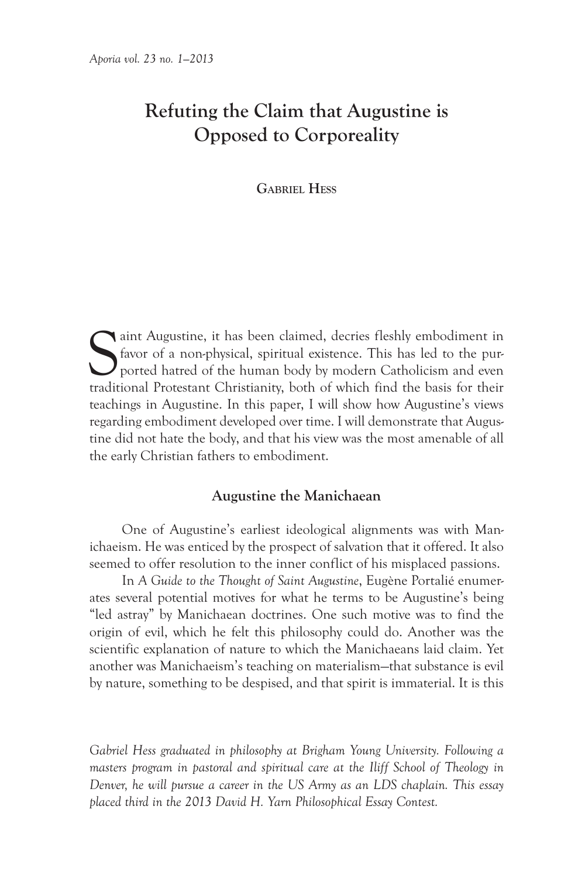# **Refuting the Claim that Augustine is Opposed to Corporeality**

**Gabriel Hess**

Saint Augustine, it has been claimed, decries fleshly embodiment in favor of a non-physical, spiritual existence. This has led to the purported hatted of the human body by modern Catholicism and even traditional Protestant favor of a non-physical, spiritual existence. This has led to the purported hatred of the human body by modern Catholicism and even traditional Protestant Christianity, both of which find the basis for their teachings in Augustine. In this paper, I will show how Augustine's views regarding embodiment developed over time. I will demonstrate that Augustine did not hate the body, and that his view was the most amenable of all the early Christian fathers to embodiment.

### **Augustine the Manichaean**

One of Augustine's earliest ideological alignments was with Manichaeism. He was enticed by the prospect of salvation that it offered. It also seemed to offer resolution to the inner conflict of his misplaced passions.

In *A Guide to the Thought of Saint Augustine*, Eugène Portalié enumerates several potential motives for what he terms to be Augustine's being "led astray" by Manichaean doctrines. One such motive was to find the origin of evil, which he felt this philosophy could do. Another was the scientific explanation of nature to which the Manichaeans laid claim. Yet another was Manichaeism's teaching on materialism—that substance is evil by nature, something to be despised, and that spirit is immaterial. It is this

*Gabriel Hess graduated in philosophy at Brigham Young University. Following a masters program in pastoral and spiritual care at the Iliff School of Theology in Denver, he will pursue a career in the US Army as an LDS chaplain. This essay placed third in the 2013 David H. Yarn Philosophical Essay Contest.*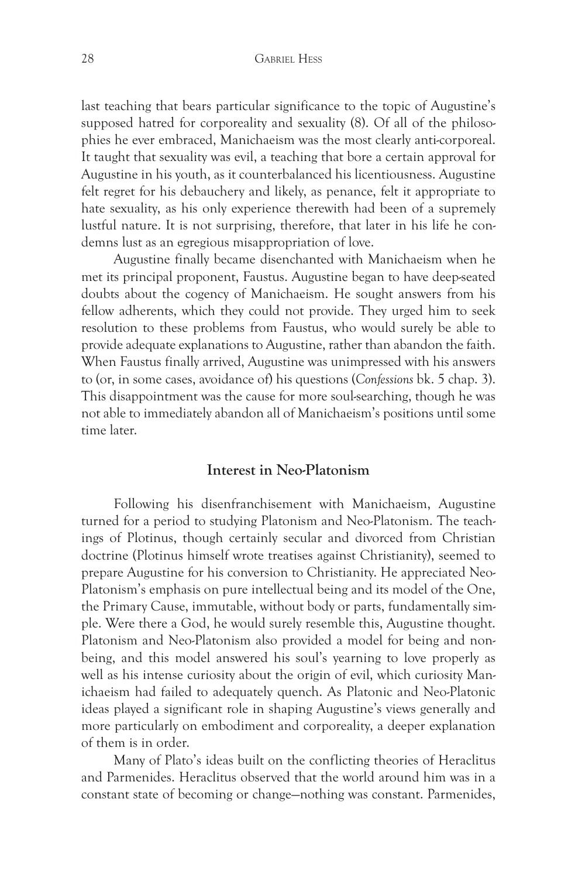last teaching that bears particular significance to the topic of Augustine's supposed hatred for corporeality and sexuality (8). Of all of the philosophies he ever embraced, Manichaeism was the most clearly anti-corporeal. It taught that sexuality was evil, a teaching that bore a certain approval for Augustine in his youth, as it counterbalanced his licentiousness. Augustine felt regret for his debauchery and likely, as penance, felt it appropriate to hate sexuality, as his only experience therewith had been of a supremely lustful nature. It is not surprising, therefore, that later in his life he condemns lust as an egregious misappropriation of love.

Augustine finally became disenchanted with Manichaeism when he met its principal proponent, Faustus. Augustine began to have deep-seated doubts about the cogency of Manichaeism. He sought answers from his fellow adherents, which they could not provide. They urged him to seek resolution to these problems from Faustus, who would surely be able to provide adequate explanations to Augustine, rather than abandon the faith. When Faustus finally arrived, Augustine was unimpressed with his answers to (or, in some cases, avoidance of) his questions (*Confessions* bk. 5 chap. 3). This disappointment was the cause for more soul-searching, though he was not able to immediately abandon all of Manichaeism's positions until some time later.

## **Interest in Neo-Platonism**

Following his disenfranchisement with Manichaeism, Augustine turned for a period to studying Platonism and Neo-Platonism. The teachings of Plotinus, though certainly secular and divorced from Christian doctrine (Plotinus himself wrote treatises against Christianity), seemed to prepare Augustine for his conversion to Christianity. He appreciated Neo-Platonism's emphasis on pure intellectual being and its model of the One, the Primary Cause, immutable, without body or parts, fundamentally simple. Were there a God, he would surely resemble this, Augustine thought. Platonism and Neo-Platonism also provided a model for being and nonbeing, and this model answered his soul's yearning to love properly as well as his intense curiosity about the origin of evil, which curiosity Manichaeism had failed to adequately quench. As Platonic and Neo-Platonic ideas played a significant role in shaping Augustine's views generally and more particularly on embodiment and corporeality, a deeper explanation of them is in order.

Many of Plato's ideas built on the conflicting theories of Heraclitus and Parmenides. Heraclitus observed that the world around him was in a constant state of becoming or change—nothing was constant. Parmenides,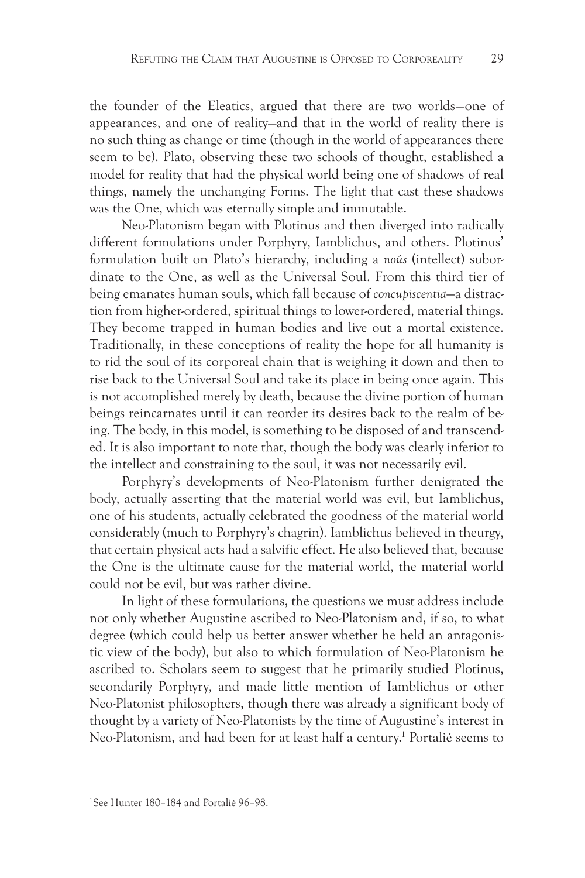the founder of the Eleatics, argued that there are two worlds—one of appearances, and one of reality—and that in the world of reality there is no such thing as change or time (though in the world of appearances there seem to be). Plato, observing these two schools of thought, established a model for reality that had the physical world being one of shadows of real things, namely the unchanging Forms. The light that cast these shadows was the One, which was eternally simple and immutable.

Neo-Platonism began with Plotinus and then diverged into radically different formulations under Porphyry, Iamblichus, and others. Plotinus' formulation built on Plato's hierarchy, including a *noûs* (intellect) subordinate to the One, as well as the Universal Soul. From this third tier of being emanates human souls, which fall because of *concupiscentia*—a distraction from higher-ordered, spiritual things to lower-ordered, material things. They become trapped in human bodies and live out a mortal existence. Traditionally, in these conceptions of reality the hope for all humanity is to rid the soul of its corporeal chain that is weighing it down and then to rise back to the Universal Soul and take its place in being once again. This is not accomplished merely by death, because the divine portion of human beings reincarnates until it can reorder its desires back to the realm of being. The body, in this model, is something to be disposed of and transcended. It is also important to note that, though the body was clearly inferior to the intellect and constraining to the soul, it was not necessarily evil.

Porphyry's developments of Neo-Platonism further denigrated the body, actually asserting that the material world was evil, but Iamblichus, one of his students, actually celebrated the goodness of the material world considerably (much to Porphyry's chagrin). Iamblichus believed in theurgy, that certain physical acts had a salvific effect. He also believed that, because the One is the ultimate cause for the material world, the material world could not be evil, but was rather divine.

In light of these formulations, the questions we must address include not only whether Augustine ascribed to Neo-Platonism and, if so, to what degree (which could help us better answer whether he held an antagonistic view of the body), but also to which formulation of Neo-Platonism he ascribed to. Scholars seem to suggest that he primarily studied Plotinus, secondarily Porphyry, and made little mention of Iamblichus or other Neo-Platonist philosophers, though there was already a significant body of thought by a variety of Neo-Platonists by the time of Augustine's interest in Neo-Platonism, and had been for at least half a century.1 Portalié seems to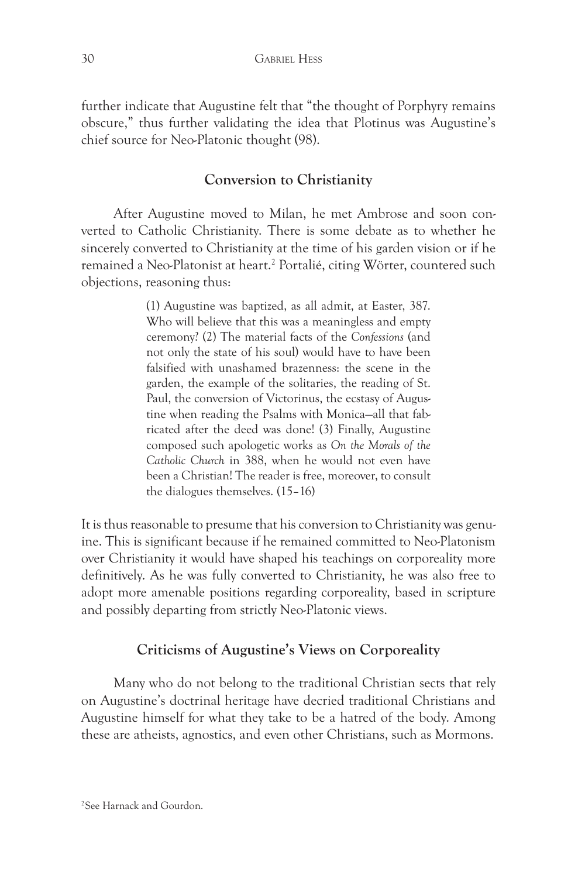further indicate that Augustine felt that "the thought of Porphyry remains obscure," thus further validating the idea that Plotinus was Augustine's chief source for Neo-Platonic thought (98).

# **Conversion to Christianity**

After Augustine moved to Milan, he met Ambrose and soon converted to Catholic Christianity. There is some debate as to whether he sincerely converted to Christianity at the time of his garden vision or if he remained a Neo-Platonist at heart.<sup>2</sup> Portalié, citing Wörter, countered such objections, reasoning thus:

> (1) Augustine was baptized, as all admit, at Easter, 387. Who will believe that this was a meaningless and empty ceremony? (2) The material facts of the *Confessions* (and not only the state of his soul) would have to have been falsified with unashamed brazenness: the scene in the garden, the example of the solitaries, the reading of St. Paul, the conversion of Victorinus, the ecstasy of Augustine when reading the Psalms with Monica—all that fabricated after the deed was done! (3) Finally, Augustine composed such apologetic works as *On the Morals of the Catholic Church* in 388, when he would not even have been a Christian! The reader is free, moreover, to consult the dialogues themselves. (15–16)

It is thus reasonable to presume that his conversion to Christianity was genuine. This is significant because if he remained committed to Neo-Platonism over Christianity it would have shaped his teachings on corporeality more definitively. As he was fully converted to Christianity, he was also free to adopt more amenable positions regarding corporeality, based in scripture and possibly departing from strictly Neo-Platonic views.

# **Criticisms of Augustine's Views on Corporeality**

Many who do not belong to the traditional Christian sects that rely on Augustine's doctrinal heritage have decried traditional Christians and Augustine himself for what they take to be a hatred of the body. Among these are atheists, agnostics, and even other Christians, such as Mormons.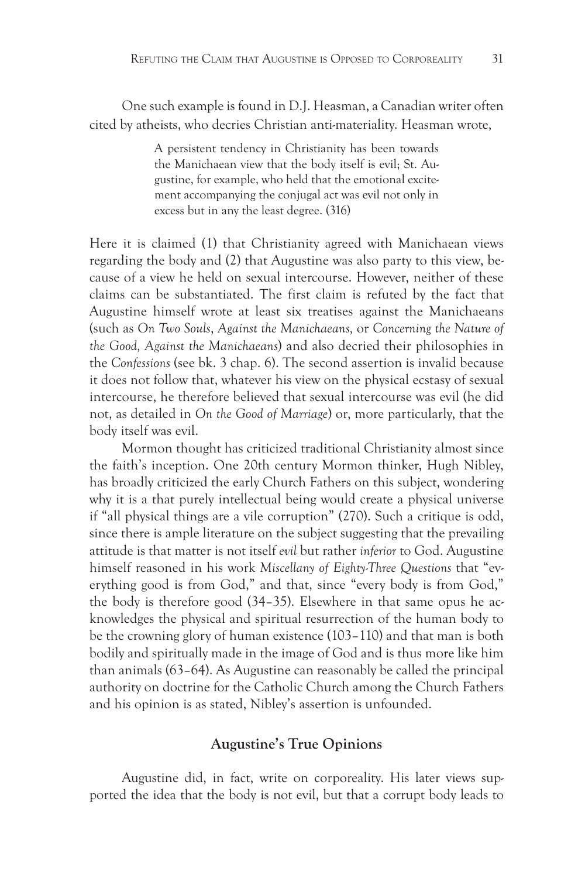One such example is found in D.J. Heasman, a Canadian writer often cited by atheists, who decries Christian anti-materiality. Heasman wrote,

> A persistent tendency in Christianity has been towards the Manichaean view that the body itself is evil; St. Augustine, for example, who held that the emotional excitement accompanying the conjugal act was evil not only in excess but in any the least degree. (316)

Here it is claimed (1) that Christianity agreed with Manichaean views regarding the body and (2) that Augustine was also party to this view, because of a view he held on sexual intercourse. However, neither of these claims can be substantiated. The first claim is refuted by the fact that Augustine himself wrote at least six treatises against the Manichaeans (such as *On Two Souls*, *Against the Manichaeans,* or *Concerning the Nature of the Good, Against the Manichaeans*) and also decried their philosophies in the *Confessions* (see bk. 3 chap. 6). The second assertion is invalid because it does not follow that, whatever his view on the physical ecstasy of sexual intercourse, he therefore believed that sexual intercourse was evil (he did not, as detailed in *On the Good of Marriage*) or, more particularly, that the body itself was evil.

Mormon thought has criticized traditional Christianity almost since the faith's inception. One 20th century Mormon thinker, Hugh Nibley, has broadly criticized the early Church Fathers on this subject, wondering why it is a that purely intellectual being would create a physical universe if "all physical things are a vile corruption" (270). Such a critique is odd, since there is ample literature on the subject suggesting that the prevailing attitude is that matter is not itself *evil* but rather *inferior* to God. Augustine himself reasoned in his work *Miscellany of Eighty-Three Questions* that "everything good is from God," and that, since "every body is from God," the body is therefore good (34–35). Elsewhere in that same opus he acknowledges the physical and spiritual resurrection of the human body to be the crowning glory of human existence (103–110) and that man is both bodily and spiritually made in the image of God and is thus more like him than animals (63–64). As Augustine can reasonably be called the principal authority on doctrine for the Catholic Church among the Church Fathers and his opinion is as stated, Nibley's assertion is unfounded.

## **Augustine's True Opinions**

Augustine did, in fact, write on corporeality. His later views supported the idea that the body is not evil, but that a corrupt body leads to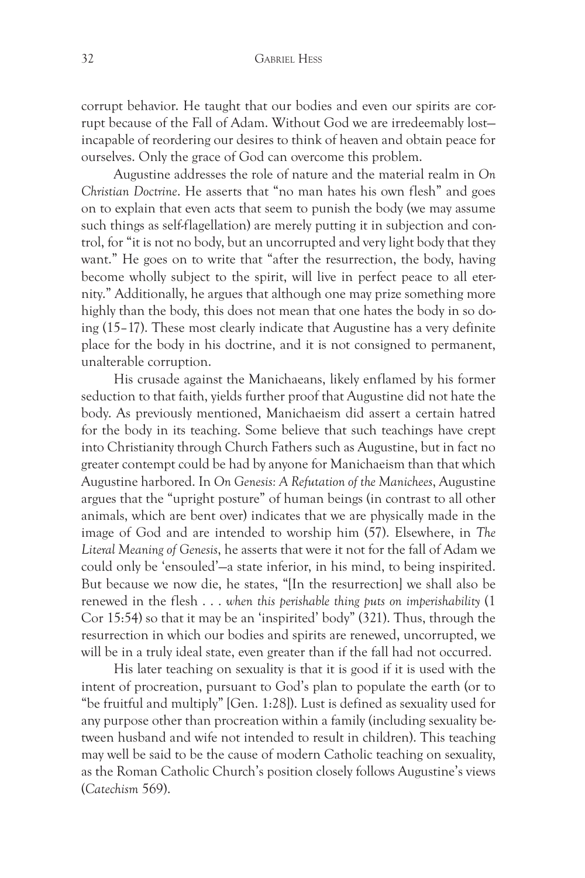corrupt behavior. He taught that our bodies and even our spirits are corrupt because of the Fall of Adam. Without God we are irredeemably lost incapable of reordering our desires to think of heaven and obtain peace for ourselves. Only the grace of God can overcome this problem.

Augustine addresses the role of nature and the material realm in *On Christian Doctrine*. He asserts that "no man hates his own flesh" and goes on to explain that even acts that seem to punish the body (we may assume such things as self-flagellation) are merely putting it in subjection and control, for "it is not no body, but an uncorrupted and very light body that they want." He goes on to write that "after the resurrection, the body, having become wholly subject to the spirit, will live in perfect peace to all eternity." Additionally, he argues that although one may prize something more highly than the body, this does not mean that one hates the body in so doing (15–17). These most clearly indicate that Augustine has a very definite place for the body in his doctrine, and it is not consigned to permanent, unalterable corruption.

His crusade against the Manichaeans, likely enflamed by his former seduction to that faith, yields further proof that Augustine did not hate the body. As previously mentioned, Manichaeism did assert a certain hatred for the body in its teaching. Some believe that such teachings have crept into Christianity through Church Fathers such as Augustine, but in fact no greater contempt could be had by anyone for Manichaeism than that which Augustine harbored. In *On Genesis: A Refutation of the Manichees*, Augustine argues that the "upright posture" of human beings (in contrast to all other animals, which are bent over) indicates that we are physically made in the image of God and are intended to worship him (57). Elsewhere, in *The Literal Meaning of Genesis*, he asserts that were it not for the fall of Adam we could only be 'ensouled'—a state inferior, in his mind, to being inspirited. But because we now die, he states, "[In the resurrection] we shall also be renewed in the flesh . . . *when this perishable thing puts on imperishability* (1 Cor 15:54) so that it may be an 'inspirited' body" (321). Thus, through the resurrection in which our bodies and spirits are renewed, uncorrupted, we will be in a truly ideal state, even greater than if the fall had not occurred.

His later teaching on sexuality is that it is good if it is used with the intent of procreation, pursuant to God's plan to populate the earth (or to "be fruitful and multiply" [Gen. 1:28]). Lust is defined as sexuality used for any purpose other than procreation within a family (including sexuality between husband and wife not intended to result in children). This teaching may well be said to be the cause of modern Catholic teaching on sexuality, as the Roman Catholic Church's position closely follows Augustine's views (*Catechism* 569).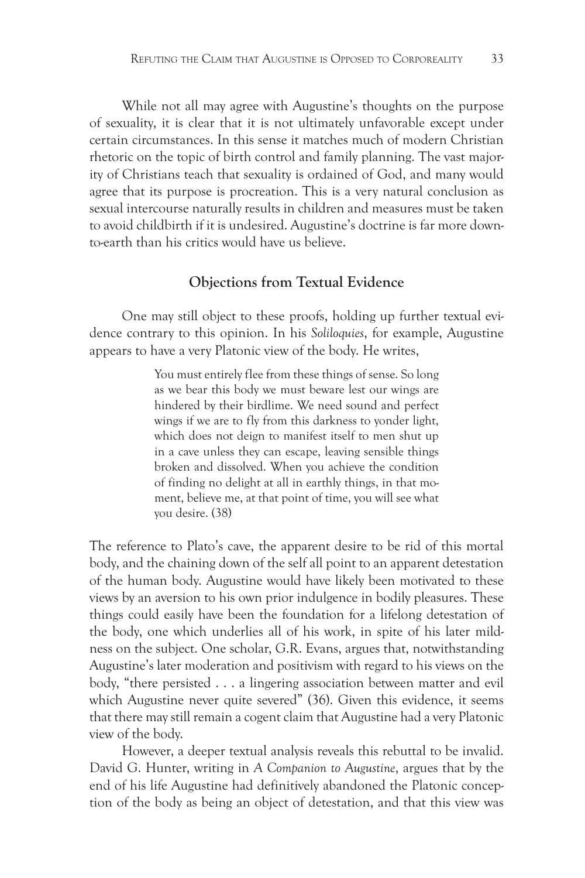While not all may agree with Augustine's thoughts on the purpose of sexuality, it is clear that it is not ultimately unfavorable except under certain circumstances. In this sense it matches much of modern Christian rhetoric on the topic of birth control and family planning. The vast majority of Christians teach that sexuality is ordained of God, and many would agree that its purpose is procreation. This is a very natural conclusion as sexual intercourse naturally results in children and measures must be taken to avoid childbirth if it is undesired. Augustine's doctrine is far more downto-earth than his critics would have us believe.

## **Objections from Textual Evidence**

One may still object to these proofs, holding up further textual evidence contrary to this opinion. In his *Soliloquies*, for example, Augustine appears to have a very Platonic view of the body. He writes,

> You must entirely flee from these things of sense. So long as we bear this body we must beware lest our wings are hindered by their birdlime. We need sound and perfect wings if we are to fly from this darkness to yonder light, which does not deign to manifest itself to men shut up in a cave unless they can escape, leaving sensible things broken and dissolved. When you achieve the condition of finding no delight at all in earthly things, in that moment, believe me, at that point of time, you will see what you desire. (38)

The reference to Plato's cave, the apparent desire to be rid of this mortal body, and the chaining down of the self all point to an apparent detestation of the human body. Augustine would have likely been motivated to these views by an aversion to his own prior indulgence in bodily pleasures. These things could easily have been the foundation for a lifelong detestation of the body, one which underlies all of his work, in spite of his later mildness on the subject. One scholar, G.R. Evans, argues that, notwithstanding Augustine's later moderation and positivism with regard to his views on the body, "there persisted . . . a lingering association between matter and evil which Augustine never quite severed" (36). Given this evidence, it seems that there may still remain a cogent claim that Augustine had a very Platonic view of the body.

However, a deeper textual analysis reveals this rebuttal to be invalid. David G. Hunter, writing in *A Companion to Augustine*, argues that by the end of his life Augustine had definitively abandoned the Platonic conception of the body as being an object of detestation, and that this view was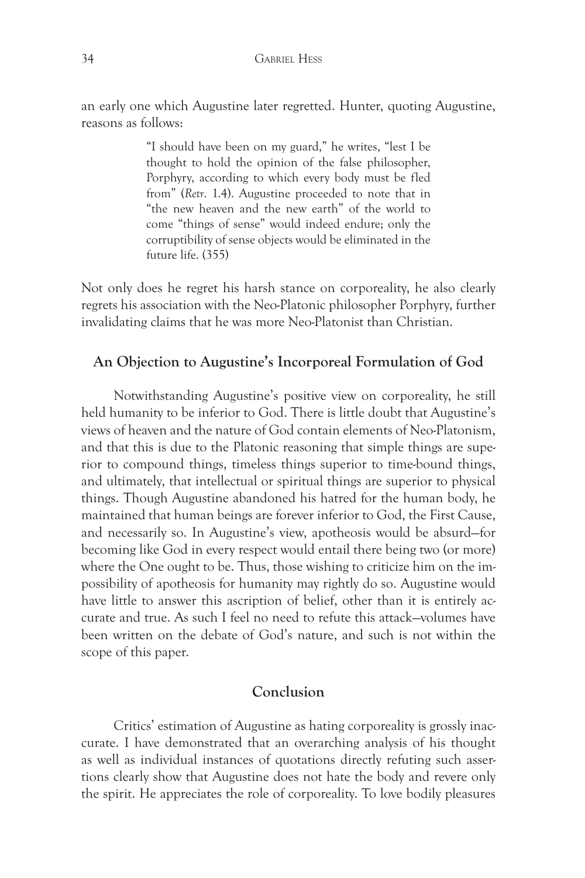an early one which Augustine later regretted. Hunter, quoting Augustine, reasons as follows:

> "I should have been on my guard," he writes, "lest I be thought to hold the opinion of the false philosopher, Porphyry, according to which every body must be fled from" (*Retr*. 1.4). Augustine proceeded to note that in "the new heaven and the new earth" of the world to come "things of sense" would indeed endure; only the corruptibility of sense objects would be eliminated in the future life. (355)

Not only does he regret his harsh stance on corporeality, he also clearly regrets his association with the Neo-Platonic philosopher Porphyry, further invalidating claims that he was more Neo-Platonist than Christian.

# **An Objection to Augustine's Incorporeal Formulation of God**

Notwithstanding Augustine's positive view on corporeality, he still held humanity to be inferior to God. There is little doubt that Augustine's views of heaven and the nature of God contain elements of Neo-Platonism, and that this is due to the Platonic reasoning that simple things are superior to compound things, timeless things superior to time-bound things, and ultimately, that intellectual or spiritual things are superior to physical things. Though Augustine abandoned his hatred for the human body, he maintained that human beings are forever inferior to God, the First Cause, and necessarily so. In Augustine's view, apotheosis would be absurd—for becoming like God in every respect would entail there being two (or more) where the One ought to be. Thus, those wishing to criticize him on the impossibility of apotheosis for humanity may rightly do so. Augustine would have little to answer this ascription of belief, other than it is entirely accurate and true. As such I feel no need to refute this attack—volumes have been written on the debate of God's nature, and such is not within the scope of this paper.

# **Conclusion**

Critics' estimation of Augustine as hating corporeality is grossly inaccurate. I have demonstrated that an overarching analysis of his thought as well as individual instances of quotations directly refuting such assertions clearly show that Augustine does not hate the body and revere only the spirit. He appreciates the role of corporeality. To love bodily pleasures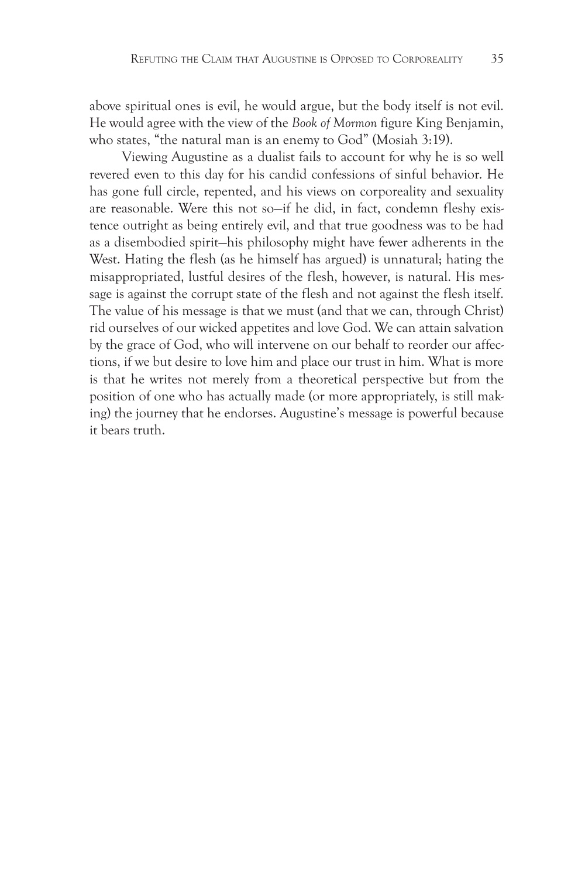above spiritual ones is evil, he would argue, but the body itself is not evil. He would agree with the view of the *Book of Mormon* figure King Benjamin, who states, "the natural man is an enemy to God" (Mosiah 3:19).

Viewing Augustine as a dualist fails to account for why he is so well revered even to this day for his candid confessions of sinful behavior. He has gone full circle, repented, and his views on corporeality and sexuality are reasonable. Were this not so—if he did, in fact, condemn fleshy existence outright as being entirely evil, and that true goodness was to be had as a disembodied spirit—his philosophy might have fewer adherents in the West. Hating the flesh (as he himself has argued) is unnatural; hating the misappropriated, lustful desires of the flesh, however, is natural. His message is against the corrupt state of the flesh and not against the flesh itself. The value of his message is that we must (and that we can, through Christ) rid ourselves of our wicked appetites and love God. We can attain salvation by the grace of God, who will intervene on our behalf to reorder our affections, if we but desire to love him and place our trust in him. What is more is that he writes not merely from a theoretical perspective but from the position of one who has actually made (or more appropriately, is still making) the journey that he endorses. Augustine's message is powerful because it bears truth.